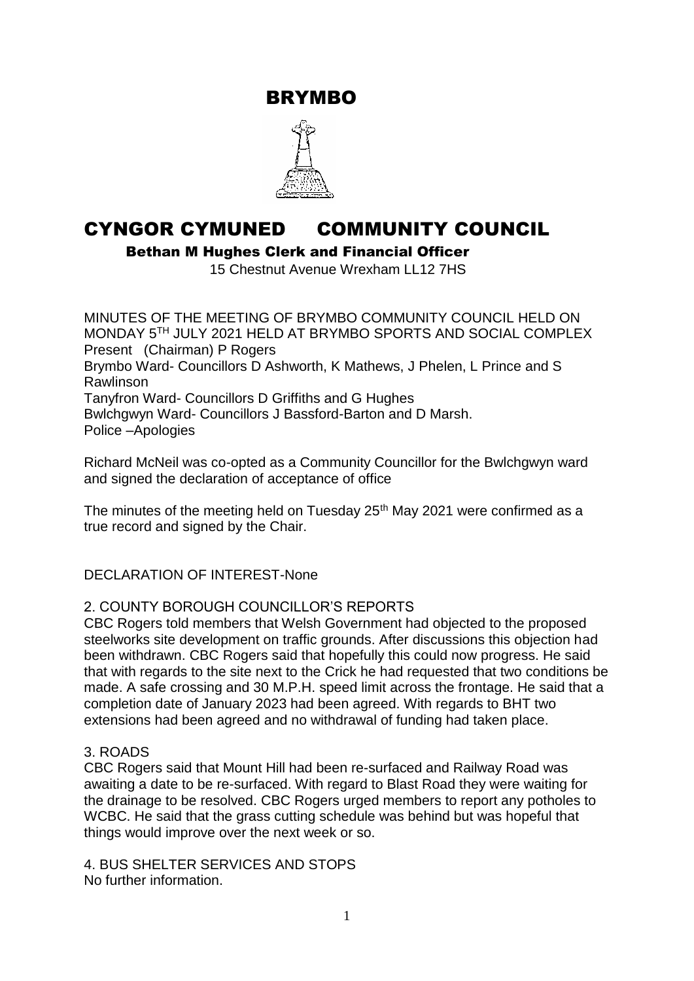BRYMBO



# CYNGOR CYMUNED COMMUNITY COUNCIL

Bethan M Hughes Clerk and Financial Officer

15 Chestnut Avenue Wrexham LL12 7HS

MINUTES OF THE MEETING OF BRYMBO COMMUNITY COUNCIL HELD ON MONDAY 5TH JULY 2021 HELD AT BRYMBO SPORTS AND SOCIAL COMPLEX Present (Chairman) P Rogers Brymbo Ward- Councillors D Ashworth, K Mathews, J Phelen, L Prince and S Rawlinson Tanyfron Ward- Councillors D Griffiths and G Hughes Bwlchgwyn Ward- Councillors J Bassford-Barton and D Marsh. Police –Apologies

Richard McNeil was co-opted as a Community Councillor for the Bwlchgwyn ward and signed the declaration of acceptance of office

The minutes of the meeting held on Tuesday  $25<sup>th</sup>$  May 2021 were confirmed as a true record and signed by the Chair.

# DECLARATION OF INTEREST-None

#### 2. COUNTY BOROUGH COUNCILLOR'S REPORTS

CBC Rogers told members that Welsh Government had objected to the proposed steelworks site development on traffic grounds. After discussions this objection had been withdrawn. CBC Rogers said that hopefully this could now progress. He said that with regards to the site next to the Crick he had requested that two conditions be made. A safe crossing and 30 M.P.H. speed limit across the frontage. He said that a completion date of January 2023 had been agreed. With regards to BHT two extensions had been agreed and no withdrawal of funding had taken place.

#### 3. ROADS

CBC Rogers said that Mount Hill had been re-surfaced and Railway Road was awaiting a date to be re-surfaced. With regard to Blast Road they were waiting for the drainage to be resolved. CBC Rogers urged members to report any potholes to WCBC. He said that the grass cutting schedule was behind but was hopeful that things would improve over the next week or so.

4. BUS SHELTER SERVICES AND STOPS No further information.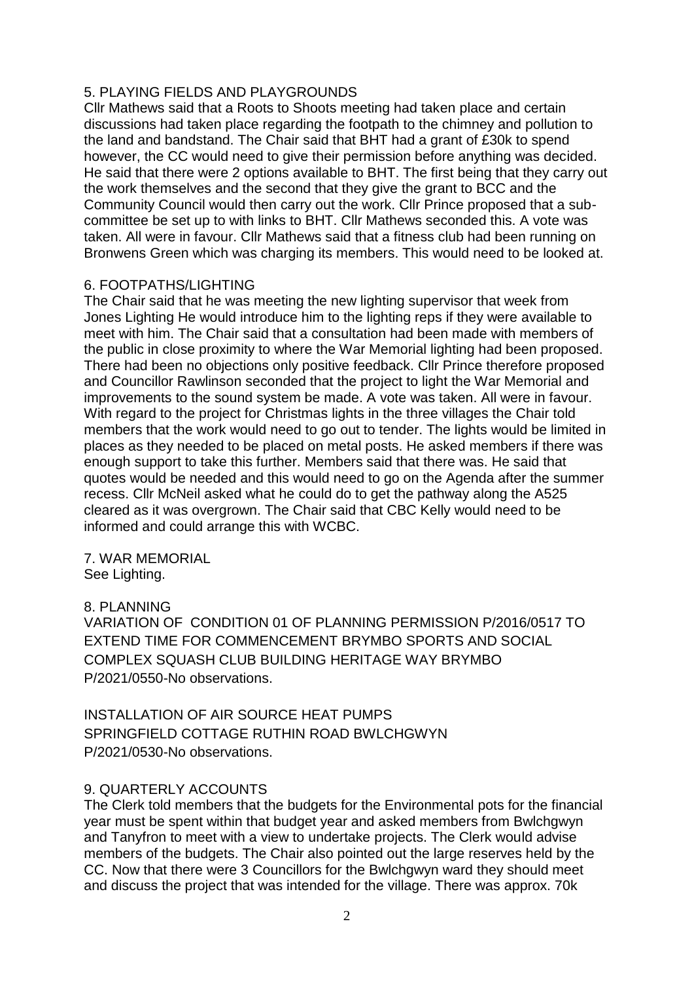## 5. PLAYING FIELDS AND PLAYGROUNDS

Cllr Mathews said that a Roots to Shoots meeting had taken place and certain discussions had taken place regarding the footpath to the chimney and pollution to the land and bandstand. The Chair said that BHT had a grant of £30k to spend however, the CC would need to give their permission before anything was decided. He said that there were 2 options available to BHT. The first being that they carry out the work themselves and the second that they give the grant to BCC and the Community Council would then carry out the work. Cllr Prince proposed that a subcommittee be set up to with links to BHT. Cllr Mathews seconded this. A vote was taken. All were in favour. Cllr Mathews said that a fitness club had been running on Bronwens Green which was charging its members. This would need to be looked at.

#### 6. FOOTPATHS/LIGHTING

The Chair said that he was meeting the new lighting supervisor that week from Jones Lighting He would introduce him to the lighting reps if they were available to meet with him. The Chair said that a consultation had been made with members of the public in close proximity to where the War Memorial lighting had been proposed. There had been no objections only positive feedback. Cllr Prince therefore proposed and Councillor Rawlinson seconded that the project to light the War Memorial and improvements to the sound system be made. A vote was taken. All were in favour. With regard to the project for Christmas lights in the three villages the Chair told members that the work would need to go out to tender. The lights would be limited in places as they needed to be placed on metal posts. He asked members if there was enough support to take this further. Members said that there was. He said that quotes would be needed and this would need to go on the Agenda after the summer recess. Cllr McNeil asked what he could do to get the pathway along the A525 cleared as it was overgrown. The Chair said that CBC Kelly would need to be informed and could arrange this with WCBC.

7. WAR MEMORIAL See Lighting.

#### 8. PLANNING

VARIATION OF CONDITION 01 OF PLANNING PERMISSION P/2016/0517 TO EXTEND TIME FOR COMMENCEMENT BRYMBO SPORTS AND SOCIAL COMPLEX SQUASH CLUB BUILDING HERITAGE WAY BRYMBO P/2021/0550-No observations.

INSTALLATION OF AIR SOURCE HEAT PUMPS SPRINGFIELD COTTAGE RUTHIN ROAD BWLCHGWYN P/2021/0530-No observations.

# 9. QUARTERLY ACCOUNTS

The Clerk told members that the budgets for the Environmental pots for the financial year must be spent within that budget year and asked members from Bwlchgwyn and Tanyfron to meet with a view to undertake projects. The Clerk would advise members of the budgets. The Chair also pointed out the large reserves held by the CC. Now that there were 3 Councillors for the Bwlchgwyn ward they should meet and discuss the project that was intended for the village. There was approx. 70k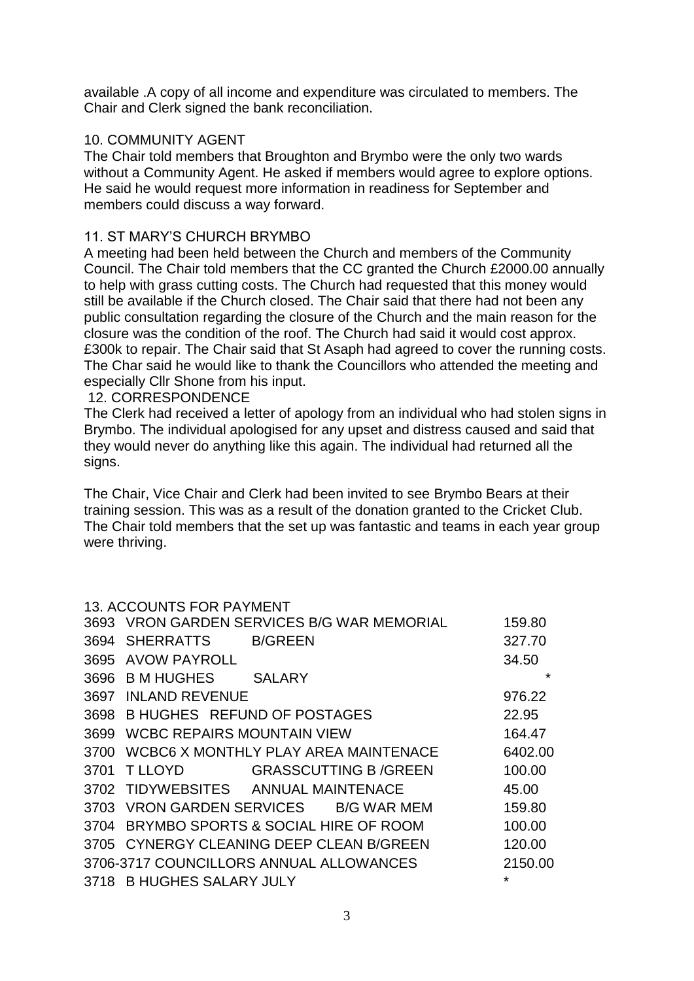available .A copy of all income and expenditure was circulated to members. The Chair and Clerk signed the bank reconciliation.

## 10. COMMUNITY AGENT

The Chair told members that Broughton and Brymbo were the only two wards without a Community Agent. He asked if members would agree to explore options. He said he would request more information in readiness for September and members could discuss a way forward.

## 11. ST MARY'S CHURCH BRYMBO

A meeting had been held between the Church and members of the Community Council. The Chair told members that the CC granted the Church £2000.00 annually to help with grass cutting costs. The Church had requested that this money would still be available if the Church closed. The Chair said that there had not been any public consultation regarding the closure of the Church and the main reason for the closure was the condition of the roof. The Church had said it would cost approx. £300k to repair. The Chair said that St Asaph had agreed to cover the running costs. The Char said he would like to thank the Councillors who attended the meeting and especially Cllr Shone from his input.

#### 12. CORRESPONDENCE

The Clerk had received a letter of apology from an individual who had stolen signs in Brymbo. The individual apologised for any upset and distress caused and said that they would never do anything like this again. The individual had returned all the signs.

The Chair, Vice Chair and Clerk had been invited to see Brymbo Bears at their training session. This was as a result of the donation granted to the Cricket Club. The Chair told members that the set up was fantastic and teams in each year group were thriving.

#### 13. ACCOUNTS FOR PAYMENT

| 3693 |                                   | <b>VRON GARDEN SERVICES B/G WAR MEMORIAL</b> | 159.80  |
|------|-----------------------------------|----------------------------------------------|---------|
| 3694 | <b>SHERRATTS</b>                  | <b>B/GREEN</b>                               | 327.70  |
| 3695 | <b>AVOW PAYROLL</b>               |                                              | 34.50   |
| 3696 | B M HUGHES                        | <b>SALARY</b>                                | $\star$ |
| 3697 | <b>INLAND REVENUE</b>             |                                              | 976.22  |
| 3698 |                                   | <b>B HUGHES REFUND OF POSTAGES</b>           | 22.95   |
| 3699 | <b>WCBC REPAIRS MOUNTAIN VIEW</b> |                                              | 164.47  |
| 3700 |                                   | WCBC6 X MONTHLY PLAY AREA MAINTENACE         | 6402.00 |
| 3701 | <b>T LLOYD</b>                    | <b>GRASSCUTTING B/GREEN</b>                  | 100.00  |
|      |                                   | 3702 TIDYWEBSITES ANNUAL MAINTENACE          | 45.00   |
|      |                                   | 3703 VRON GARDEN SERVICES B/G WAR MEM        | 159.80  |
| 3704 |                                   | BRYMBO SPORTS & SOCIAL HIRE OF ROOM          | 100.00  |
|      |                                   | 3705 CYNERGY CLEANING DEEP CLEAN B/GREEN     | 120.00  |
|      |                                   | 3706-3717 COUNCILLORS ANNUAL ALLOWANCES      | 2150.00 |
| 3718 | <b>B HUGHES SALARY JULY</b>       |                                              | ¥       |